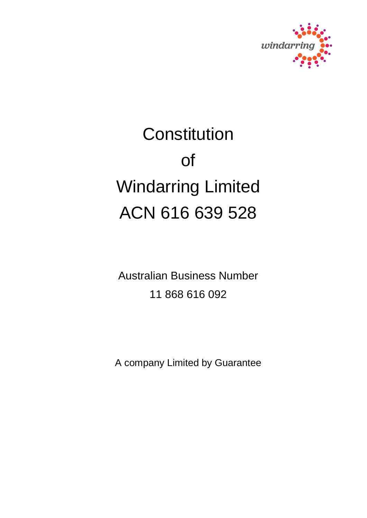

# **Constitution** of Windarring Limited ACN 616 639 528

Australian Business Number 11 868 616 092

A company Limited by Guarantee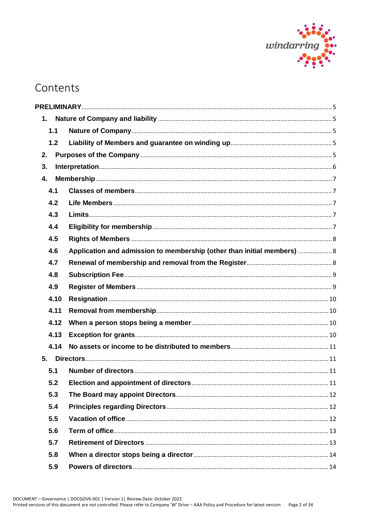

# Contents

| 1.   |                                                                         |  |
|------|-------------------------------------------------------------------------|--|
| 1.1  |                                                                         |  |
| 1.2  |                                                                         |  |
| 2.   |                                                                         |  |
| 3.   |                                                                         |  |
| 4.   |                                                                         |  |
| 4.1  |                                                                         |  |
| 4.2  |                                                                         |  |
| 4.3  |                                                                         |  |
| 4.4  |                                                                         |  |
| 4.5  |                                                                         |  |
| 4.6  | Application and admission to membership (other than initial members)  8 |  |
| 4.7  |                                                                         |  |
| 4.8  |                                                                         |  |
| 4.9  |                                                                         |  |
| 4.10 |                                                                         |  |
| 4.11 |                                                                         |  |
| 4.12 |                                                                         |  |
| 4.13 |                                                                         |  |
| 4.14 |                                                                         |  |
|      |                                                                         |  |
| 5.1  |                                                                         |  |
| 5.2  |                                                                         |  |
| 5.3  |                                                                         |  |
| 5.4  |                                                                         |  |
| 5.5  |                                                                         |  |
| 5.6  |                                                                         |  |
| 5.7  |                                                                         |  |
| 5.8  |                                                                         |  |
| 5.9  |                                                                         |  |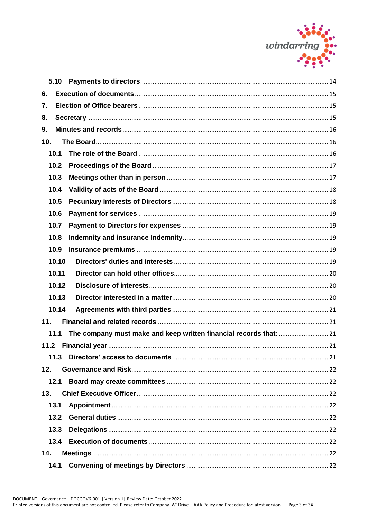

| 5.10 |       |  |
|------|-------|--|
| 6.   |       |  |
| 7.   |       |  |
| 8.   |       |  |
| 9.   |       |  |
| 10.  |       |  |
| 10.1 |       |  |
| 10.2 |       |  |
| 10.3 |       |  |
| 10.4 |       |  |
| 10.5 |       |  |
| 10.6 |       |  |
| 10.7 |       |  |
| 10.8 |       |  |
| 10.9 |       |  |
|      | 10.10 |  |
|      | 10.11 |  |
|      | 10.12 |  |
|      | 10.13 |  |
|      | 10.14 |  |
| 11.  |       |  |
| 11.1 |       |  |
|      |       |  |
| 11.3 |       |  |
| 12.  |       |  |
| 12.1 |       |  |
| 13.  |       |  |
| 13.1 |       |  |
| 13.2 |       |  |
| 13.3 |       |  |
|      |       |  |
| 14.  |       |  |
| 14.1 |       |  |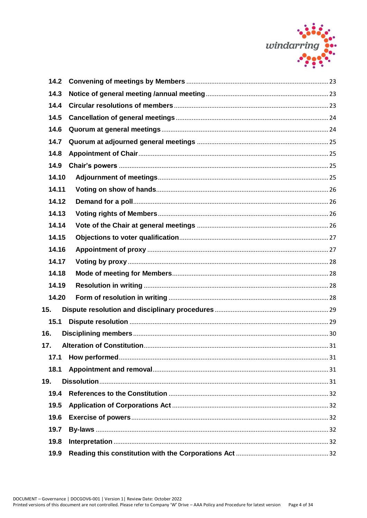

| 14.3<br>14.4<br>14.5<br>14.6<br>14.7<br>14.8<br>14.9<br>14.10<br>14.11<br>14.12<br>14.13<br>14.14<br>14.15<br>14.16<br>14.17<br>14.18<br>14.19<br>14.20<br>15.<br>15.1<br>16.<br>17.<br>17.1<br>18.1<br>19.<br>19.4<br>19.5<br>19.6<br>19.7<br>19.8<br>19.9 | 14.2 |  |
|-------------------------------------------------------------------------------------------------------------------------------------------------------------------------------------------------------------------------------------------------------------|------|--|
|                                                                                                                                                                                                                                                             |      |  |
|                                                                                                                                                                                                                                                             |      |  |
|                                                                                                                                                                                                                                                             |      |  |
|                                                                                                                                                                                                                                                             |      |  |
|                                                                                                                                                                                                                                                             |      |  |
|                                                                                                                                                                                                                                                             |      |  |
|                                                                                                                                                                                                                                                             |      |  |
|                                                                                                                                                                                                                                                             |      |  |
|                                                                                                                                                                                                                                                             |      |  |
|                                                                                                                                                                                                                                                             |      |  |
|                                                                                                                                                                                                                                                             |      |  |
|                                                                                                                                                                                                                                                             |      |  |
|                                                                                                                                                                                                                                                             |      |  |
|                                                                                                                                                                                                                                                             |      |  |
|                                                                                                                                                                                                                                                             |      |  |
|                                                                                                                                                                                                                                                             |      |  |
|                                                                                                                                                                                                                                                             |      |  |
|                                                                                                                                                                                                                                                             |      |  |
|                                                                                                                                                                                                                                                             |      |  |
|                                                                                                                                                                                                                                                             |      |  |
|                                                                                                                                                                                                                                                             |      |  |
|                                                                                                                                                                                                                                                             |      |  |
|                                                                                                                                                                                                                                                             |      |  |
|                                                                                                                                                                                                                                                             |      |  |
|                                                                                                                                                                                                                                                             |      |  |
|                                                                                                                                                                                                                                                             |      |  |
|                                                                                                                                                                                                                                                             |      |  |
|                                                                                                                                                                                                                                                             |      |  |
|                                                                                                                                                                                                                                                             |      |  |
|                                                                                                                                                                                                                                                             |      |  |
|                                                                                                                                                                                                                                                             |      |  |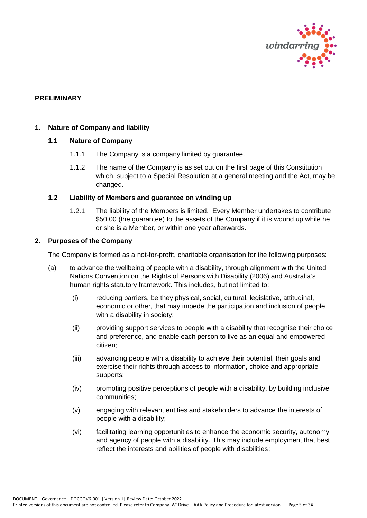

#### <span id="page-4-0"></span>**PRELIMINARY**

#### <span id="page-4-2"></span><span id="page-4-1"></span>**1. Nature of Company and liability**

# **1.1 Nature of Company**

- 1.1.1 The Company is a company limited by guarantee.
- 1.1.2 The name of the Company is as set out on the first page of this Constitution which, subject to a Special Resolution at a general meeting and the Act, may be changed.

#### <span id="page-4-3"></span>**1.2 Liability of Members and guarantee on winding up**

1.2.1 The liability of the Members is limited. Every Member undertakes to contribute \$50.00 (the guarantee) to the assets of the Company if it is wound up while he or she is a Member, or within one year afterwards.

#### <span id="page-4-4"></span>**2. Purposes of the Company**

The Company is formed as a not-for-profit, charitable organisation for the following purposes:

- (a) to advance the wellbeing of people with a disability, through alignment with the United Nations Convention on the Rights of Persons with Disability (2006) and Australia's human rights statutory framework. This includes, but not limited to:
	- (i) reducing barriers, be they physical, social, cultural, legislative, attitudinal, economic or other, that may impede the participation and inclusion of people with a disability in society;
	- (ii) providing support services to people with a disability that recognise their choice and preference, and enable each person to live as an equal and empowered citizen;
	- (iii) advancing people with a disability to achieve their potential, their goals and exercise their rights through access to information, choice and appropriate supports;
	- (iv) promoting positive perceptions of people with a disability, by building inclusive communities;
	- (v) engaging with relevant entities and stakeholders to advance the interests of people with a disability;
	- (vi) facilitating learning opportunities to enhance the economic security, autonomy and agency of people with a disability. This may include employment that best reflect the interests and abilities of people with disabilities;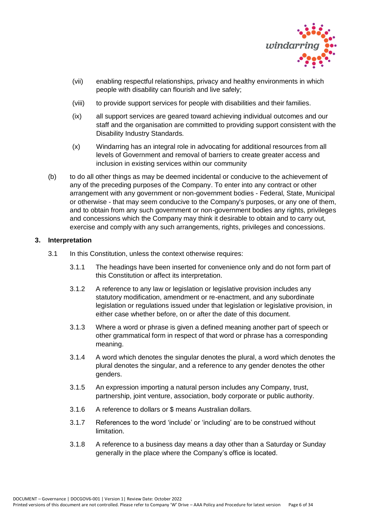

- (vii) enabling respectful relationships, privacy and healthy environments in which people with disability can flourish and live safely;
- (viii) to provide support services for people with disabilities and their families.
- (ix) all support services are geared toward achieving individual outcomes and our staff and the organisation are committed to providing support consistent with the Disability Industry Standards.
- (x) Windarring has an integral role in advocating for additional resources from all levels of Government and removal of barriers to create greater access and inclusion in existing services within our community
- (b) to do all other things as may be deemed incidental or conducive to the achievement of any of the preceding purposes of the Company. To enter into any contract or other arrangement with any government or non-government bodies - Federal, State, Municipal or otherwise - that may seem conducive to the Company's purposes, or any one of them, and to obtain from any such government or non-government bodies any rights, privileges and concessions which the Company may think it desirable to obtain and to carry out, exercise and comply with any such arrangements, rights, privileges and concessions.

# <span id="page-5-0"></span>**3. Interpretation**

- 3.1 In this Constitution, unless the context otherwise requires:
	- 3.1.1 The headings have been inserted for convenience only and do not form part of this Constitution or affect its interpretation.
	- 3.1.2 A reference to any law or legislation or legislative provision includes any statutory modification, amendment or re-enactment, and any subordinate legislation or regulations issued under that legislation or legislative provision, in either case whether before, on or after the date of this document.
	- 3.1.3 Where a word or phrase is given a defined meaning another part of speech or other grammatical form in respect of that word or phrase has a corresponding meaning.
	- 3.1.4 A word which denotes the singular denotes the plural, a word which denotes the plural denotes the singular, and a reference to any gender denotes the other genders.
	- 3.1.5 An expression importing a natural person includes any Company, trust, partnership, joint venture, association, body corporate or public authority.
	- 3.1.6 A reference to dollars or \$ means Australian dollars.
	- 3.1.7 References to the word 'include' or 'including' are to be construed without limitation.
	- 3.1.8 A reference to a business day means a day other than a Saturday or Sunday generally in the place where the Company's office is located.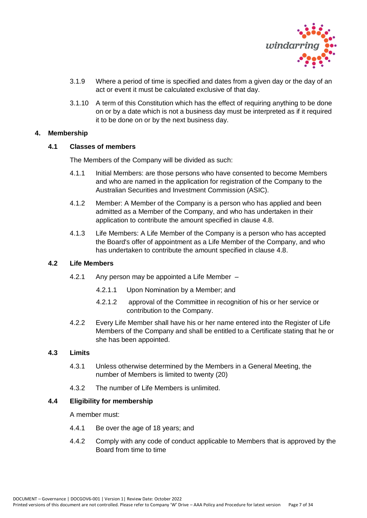

- 3.1.9 Where a period of time is specified and dates from a given day or the day of an act or event it must be calculated exclusive of that day.
- 3.1.10 A term of this Constitution which has the effect of requiring anything to be done on or by a date which is not a business day must be interpreted as if it required it to be done on or by the next business day.

#### <span id="page-6-1"></span><span id="page-6-0"></span>**4. Membership**

# **4.1 Classes of members**

The Members of the Company will be divided as such:

- 4.1.1 Initial Members: are those persons who have consented to become Members and who are named in the application for registration of the Company to the Australian Securities and Investment Commission (ASIC).
- 4.1.2 Member: A Member of the Company is a person who has applied and been admitted as a Member of the Company, and who has undertaken in their application to contribute the amount specified in clause 4.8.
- 4.1.3 Life Members: A Life Member of the Company is a person who has accepted the Board's offer of appointment as a Life Member of the Company, and who has undertaken to contribute the amount specified in clause 4.8.

# <span id="page-6-2"></span>**4.2 Life Members**

- 4.2.1 Any person may be appointed a Life Member
	- 4.2.1.1 Upon Nomination by a Member; and
	- 4.2.1.2 approval of the Committee in recognition of his or her service or contribution to the Company.
- 4.2.2 Every Life Member shall have his or her name entered into the Register of Life Members of the Company and shall be entitled to a Certificate stating that he or she has been appointed.

#### <span id="page-6-3"></span>**4.3 Limits**

- 4.3.1 Unless otherwise determined by the Members in a General Meeting, the number of Members is limited to twenty (20)
- 4.3.2 The number of Life Members is unlimited.

# <span id="page-6-4"></span>**4.4 Eligibility for membership**

A member must:

- 4.4.1 Be over the age of 18 years; and
- 4.4.2 Comply with any code of conduct applicable to Members that is approved by the Board from time to time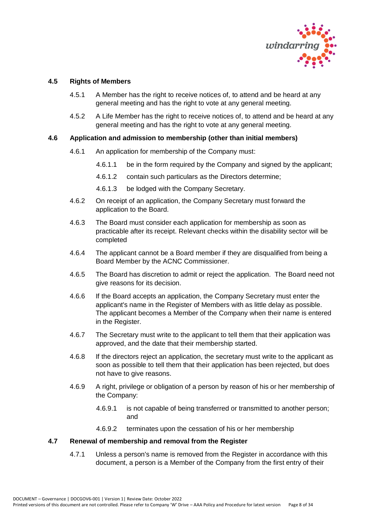

# <span id="page-7-0"></span>**4.5 Rights of Members**

- 4.5.1 A Member has the right to receive notices of, to attend and be heard at any general meeting and has the right to vote at any general meeting.
- 4.5.2 A Life Member has the right to receive notices of, to attend and be heard at any general meeting and has the right to vote at any general meeting.

# <span id="page-7-1"></span>**4.6 Application and admission to membership (other than initial members)**

- 4.6.1 An application for membership of the Company must:
	- 4.6.1.1 be in the form required by the Company and signed by the applicant;
	- 4.6.1.2 contain such particulars as the Directors determine;
	- 4.6.1.3 be lodged with the Company Secretary.
- 4.6.2 On receipt of an application, the Company Secretary must forward the application to the Board.
- 4.6.3 The Board must consider each application for membership as soon as practicable after its receipt. Relevant checks within the disability sector will be completed
- 4.6.4 The applicant cannot be a Board member if they are disqualified from being a Board Member by the ACNC Commissioner.
- 4.6.5 The Board has discretion to admit or reject the application. The Board need not give reasons for its decision.
- 4.6.6 If the Board accepts an application, the Company Secretary must enter the applicant's name in the Register of Members with as little delay as possible. The applicant becomes a Member of the Company when their name is entered in the Register.
- 4.6.7 The Secretary must write to the applicant to tell them that their application was approved, and the date that their membership started.
- 4.6.8 If the directors reject an application, the secretary must write to the applicant as soon as possible to tell them that their application has been rejected, but does not have to give reasons.
- 4.6.9 A right, privilege or obligation of a person by reason of his or her membership of the Company:
	- 4.6.9.1 is not capable of being transferred or transmitted to another person; and
	- 4.6.9.2 terminates upon the cessation of his or her membership

# <span id="page-7-2"></span>**4.7 Renewal of membership and removal from the Register**

4.7.1 Unless a person's name is removed from the Register in accordance with this document, a person is a Member of the Company from the first entry of their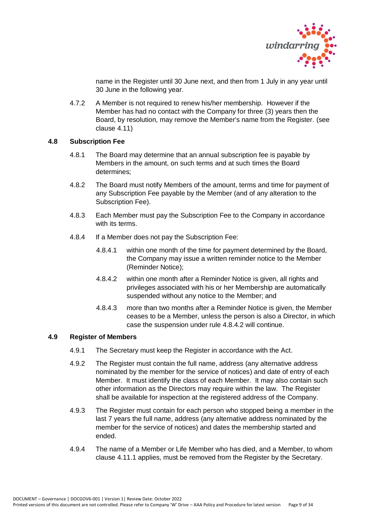

name in the Register until 30 June next, and then from 1 July in any year until 30 June in the following year.

4.7.2 A Member is not required to renew his/her membership. However if the Member has had no contact with the Company for three (3) years then the Board, by resolution, may remove the Member's name from the Register. (see clause 4.11)

# <span id="page-8-0"></span>**4.8 Subscription Fee**

- 4.8.1 The Board may determine that an annual subscription fee is payable by Members in the amount, on such terms and at such times the Board determines;
- 4.8.2 The Board must notify Members of the amount, terms and time for payment of any Subscription Fee payable by the Member (and of any alteration to the Subscription Fee).
- 4.8.3 Each Member must pay the Subscription Fee to the Company in accordance with its terms.
- 4.8.4 If a Member does not pay the Subscription Fee:
	- 4.8.4.1 within one month of the time for payment determined by the Board, the Company may issue a written reminder notice to the Member (Reminder Notice);
	- 4.8.4.2 within one month after a Reminder Notice is given, all rights and privileges associated with his or her Membership are automatically suspended without any notice to the Member; and
	- 4.8.4.3 more than two months after a Reminder Notice is given, the Member ceases to be a Member, unless the person is also a Director, in which case the suspension under rule 4.8.4.2 will continue.

# <span id="page-8-1"></span>**4.9 Register of Members**

- 4.9.1 The Secretary must keep the Register in accordance with the Act.
- 4.9.2 The Register must contain the full name, address (any alternative address nominated by the member for the service of notices) and date of entry of each Member. It must identify the class of each Member. It may also contain such other information as the Directors may require within the law. The Register shall be available for inspection at the registered address of the Company.
- 4.9.3 The Register must contain for each person who stopped being a member in the last 7 years the full name, address (any alternative address nominated by the member for the service of notices) and dates the membership started and ended.
- 4.9.4 The name of a Member or Life Member who has died, and a Member, to whom clause 4.11.1 applies, must be removed from the Register by the Secretary.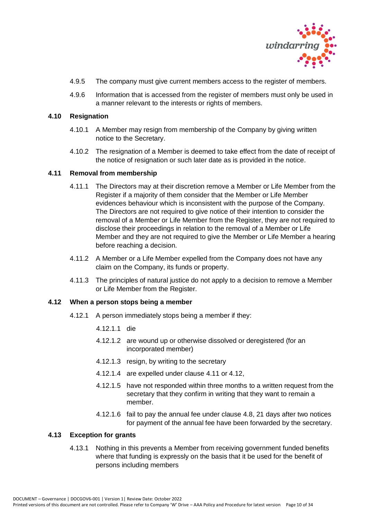

- 4.9.5 The company must give current members access to the register of members.
- 4.9.6 Information that is accessed from the register of members must only be used in a manner relevant to the interests or rights of members.

#### <span id="page-9-0"></span>**4.10 Resignation**

- 4.10.1 A Member may resign from membership of the Company by giving written notice to the Secretary.
- 4.10.2 The resignation of a Member is deemed to take effect from the date of receipt of the notice of resignation or such later date as is provided in the notice.

#### <span id="page-9-1"></span>**4.11 Removal from membership**

- 4.11.1 The Directors may at their discretion remove a Member or Life Member from the Register if a majority of them consider that the Member or Life Member evidences behaviour which is inconsistent with the purpose of the Company. The Directors are not required to give notice of their intention to consider the removal of a Member or Life Member from the Register, they are not required to disclose their proceedings in relation to the removal of a Member or Life Member and they are not required to give the Member or Life Member a hearing before reaching a decision.
- 4.11.2 A Member or a Life Member expelled from the Company does not have any claim on the Company, its funds or property.
- 4.11.3 The principles of natural justice do not apply to a decision to remove a Member or Life Member from the Register.

#### <span id="page-9-2"></span>**4.12 When a person stops being a member**

- 4.12.1 A person immediately stops being a member if they:
	- 4.12.1.1 die
	- 4.12.1.2 are wound up or otherwise dissolved or deregistered (for an incorporated member)
	- 4.12.1.3 resign, by writing to the secretary
	- 4.12.1.4 are expelled under clause 4.11 or 4.12,
	- 4.12.1.5 have not responded within three months to a written request from the secretary that they confirm in writing that they want to remain a member.
	- 4.12.1.6 fail to pay the annual fee under clause 4.8, 21 days after two notices for payment of the annual fee have been forwarded by the secretary.

# <span id="page-9-3"></span>**4.13 Exception for grants**

4.13.1 Nothing in this prevents a Member from receiving government funded benefits where that funding is expressly on the basis that it be used for the benefit of persons including members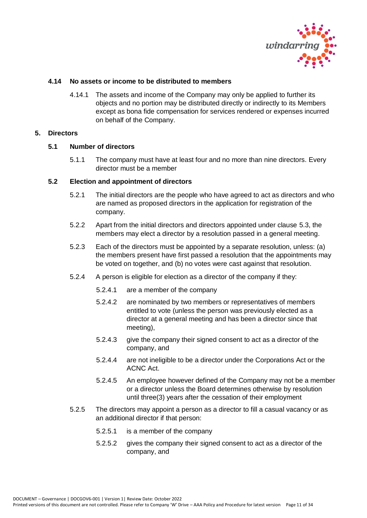

# <span id="page-10-0"></span>**4.14 No assets or income to be distributed to members**

4.14.1 The assets and income of the Company may only be applied to further its objects and no portion may be distributed directly or indirectly to its Members except as bona fide compensation for services rendered or expenses incurred on behalf of the Company.

# <span id="page-10-2"></span><span id="page-10-1"></span>**5. Directors**

#### **5.1 Number of directors**

5.1.1 The company must have at least four and no more than nine directors. Every director must be a member

#### <span id="page-10-3"></span>**5.2 Election and appointment of directors**

- 5.2.1 The initial directors are the people who have agreed to act as directors and who are named as proposed directors in the application for registration of the company.
- 5.2.2 Apart from the initial directors and directors appointed under clause 5.3, the members may elect a director by a resolution passed in a general meeting.
- 5.2.3 Each of the directors must be appointed by a separate resolution, unless: (a) the members present have first passed a resolution that the appointments may be voted on together, and (b) no votes were cast against that resolution.
- 5.2.4 A person is eligible for election as a director of the company if they:
	- 5.2.4.1 are a member of the company
	- 5.2.4.2 are nominated by two members or representatives of members entitled to vote (unless the person was previously elected as a director at a general meeting and has been a director since that meeting),
	- 5.2.4.3 give the company their signed consent to act as a director of the company, and
	- 5.2.4.4 are not ineligible to be a director under the Corporations Act or the ACNC Act.
	- 5.2.4.5 An employee however defined of the Company may not be a member or a director unless the Board determines otherwise by resolution until three(3) years after the cessation of their employment
- 5.2.5 The directors may appoint a person as a director to fill a casual vacancy or as an additional director if that person:
	- 5.2.5.1 is a member of the company
	- 5.2.5.2 gives the company their signed consent to act as a director of the company, and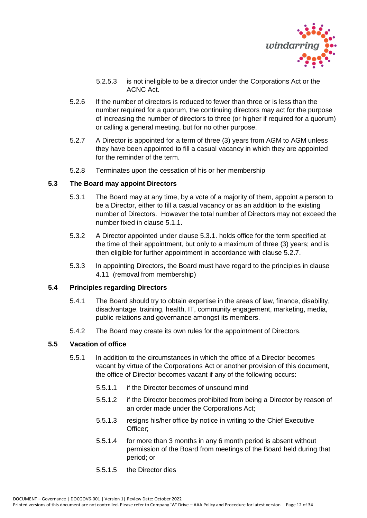

- 5.2.5.3 is not ineligible to be a director under the Corporations Act or the ACNC Act.
- 5.2.6 If the number of directors is reduced to fewer than three or is less than the number required for a quorum, the continuing directors may act for the purpose of increasing the number of directors to three (or higher if required for a quorum) or calling a general meeting, but for no other purpose.
- 5.2.7 A Director is appointed for a term of three (3) years from AGM to AGM unless they have been appointed to fill a casual vacancy in which they are appointed for the reminder of the term.
- 5.2.8 Terminates upon the cessation of his or her membership

# <span id="page-11-0"></span>**5.3 The Board may appoint Directors**

- 5.3.1 The Board may at any time, by a vote of a majority of them, appoint a person to be a Director, either to fill a casual vacancy or as an addition to the existing number of Directors. However the total number of Directors may not exceed the number fixed in clause 5.1.1.
- 5.3.2 A Director appointed under clause 5.3.1. holds office for the term specified at the time of their appointment, but only to a maximum of three (3) years; and is then eligible for further appointment in accordance with clause 5.2.7.
- 5.3.3 In appointing Directors, the Board must have regard to the principles in clause 4.11 (removal from membership)

# <span id="page-11-1"></span>**5.4 Principles regarding Directors**

- 5.4.1 The Board should try to obtain expertise in the areas of law, finance, disability, disadvantage, training, health, IT, community engagement, marketing, media, public relations and governance amongst its members.
- 5.4.2 The Board may create its own rules for the appointment of Directors.

# <span id="page-11-2"></span>**5.5 Vacation of office**

- 5.5.1 In addition to the circumstances in which the office of a Director becomes vacant by virtue of the Corporations Act or another provision of this document, the office of Director becomes vacant if any of the following occurs:
	- 5.5.1.1 if the Director becomes of unsound mind
	- 5.5.1.2 if the Director becomes prohibited from being a Director by reason of an order made under the Corporations Act;
	- 5.5.1.3 resigns his/her office by notice in writing to the Chief Executive Officer;
	- 5.5.1.4 for more than 3 months in any 6 month period is absent without permission of the Board from meetings of the Board held during that period; or
	- 5.5.1.5 the Director dies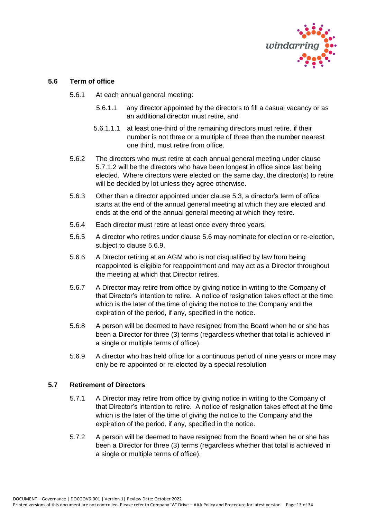

# <span id="page-12-0"></span>**5.6 Term of office**

- 5.6.1 At each annual general meeting:
	- 5.6.1.1 any director appointed by the directors to fill a casual vacancy or as an additional director must retire, and
	- 5.6.1.1.1 at least one-third of the remaining directors must retire. if their number is not three or a multiple of three then the number nearest one third, must retire from office.
- 5.6.2 The directors who must retire at each annual general meeting under clause 5.7.1.2 will be the directors who have been longest in office since last being elected. Where directors were elected on the same day, the director(s) to retire will be decided by lot unless they agree otherwise.
- 5.6.3 Other than a director appointed under clause 5.3, a director's term of office starts at the end of the annual general meeting at which they are elected and ends at the end of the annual general meeting at which they retire.
- 5.6.4 Each director must retire at least once every three years.
- 5.6.5 A director who retires under clause 5.6 may nominate for election or re-election, subject to clause 5.6.9.
- 5.6.6 A Director retiring at an AGM who is not disqualified by law from being reappointed is eligible for reappointment and may act as a Director throughout the meeting at which that Director retires.
- 5.6.7 A Director may retire from office by giving notice in writing to the Company of that Director's intention to retire. A notice of resignation takes effect at the time which is the later of the time of giving the notice to the Company and the expiration of the period, if any, specified in the notice.
- 5.6.8 A person will be deemed to have resigned from the Board when he or she has been a Director for three (3) terms (regardless whether that total is achieved in a single or multiple terms of office).
- 5.6.9 A director who has held office for a continuous period of nine years or more may only be re-appointed or re-elected by a special resolution

# <span id="page-12-1"></span>**5.7 Retirement of Directors**

- 5.7.1 A Director may retire from office by giving notice in writing to the Company of that Director's intention to retire. A notice of resignation takes effect at the time which is the later of the time of giving the notice to the Company and the expiration of the period, if any, specified in the notice.
- 5.7.2 A person will be deemed to have resigned from the Board when he or she has been a Director for three (3) terms (regardless whether that total is achieved in a single or multiple terms of office).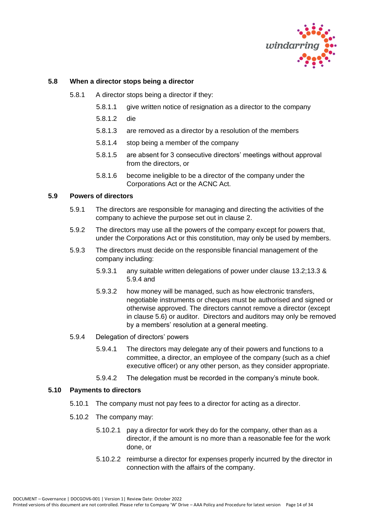

# <span id="page-13-0"></span>**5.8 When a director stops being a director**

- 5.8.1 A director stops being a director if they:
	- 5.8.1.1 give written notice of resignation as a director to the company
	- 5.8.1.2 die
	- 5.8.1.3 are removed as a director by a resolution of the members
	- 5.8.1.4 stop being a member of the company
	- 5.8.1.5 are absent for 3 consecutive directors' meetings without approval from the directors, or
	- 5.8.1.6 become ineligible to be a director of the company under the Corporations Act or the ACNC Act.

#### <span id="page-13-1"></span>**5.9 Powers of directors**

- 5.9.1 The directors are responsible for managing and directing the activities of the company to achieve the purpose set out in clause 2.
- 5.9.2 The directors may use all the powers of the company except for powers that, under the Corporations Act or this constitution, may only be used by members.
- 5.9.3 The directors must decide on the responsible financial management of the company including:
	- 5.9.3.1 any suitable written delegations of power under clause 13.2;13.3 & 5.9.4 and
	- 5.9.3.2 how money will be managed, such as how electronic transfers, negotiable instruments or cheques must be authorised and signed or otherwise approved. The directors cannot remove a director (except in clause 5.6) or auditor. Directors and auditors may only be removed by a members' resolution at a general meeting.
- 5.9.4 Delegation of directors' powers
	- 5.9.4.1 The directors may delegate any of their powers and functions to a committee, a director, an employee of the company (such as a chief executive officer) or any other person, as they consider appropriate.
	- 5.9.4.2 The delegation must be recorded in the company's minute book.

# <span id="page-13-2"></span>**5.10 Payments to directors**

- 5.10.1 The company must not pay fees to a director for acting as a director.
- 5.10.2 The company may:
	- 5.10.2.1 pay a director for work they do for the company, other than as a director, if the amount is no more than a reasonable fee for the work done, or
	- 5.10.2.2 reimburse a director for expenses properly incurred by the director in connection with the affairs of the company.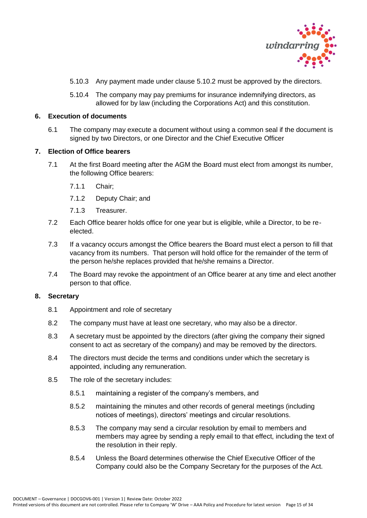

- 5.10.3 Any payment made under clause 5.10.2 must be approved by the directors.
- 5.10.4 The company may pay premiums for insurance indemnifying directors, as allowed for by law (including the Corporations Act) and this constitution.

#### <span id="page-14-0"></span>**6. Execution of documents**

6.1 The company may execute a document without using a common seal if the document is signed by two Directors, or one Director and the Chief Executive Officer

# <span id="page-14-1"></span>**7. Election of Office bearers**

- 7.1 At the first Board meeting after the AGM the Board must elect from amongst its number, the following Office bearers:
	- 7.1.1 Chair;
	- 7.1.2 Deputy Chair; and
	- 7.1.3 Treasurer.
- 7.2 Each Office bearer holds office for one year but is eligible, while a Director, to be reelected.
- 7.3 If a vacancy occurs amongst the Office bearers the Board must elect a person to fill that vacancy from its numbers. That person will hold office for the remainder of the term of the person he/she replaces provided that he/she remains a Director.
- 7.4 The Board may revoke the appointment of an Office bearer at any time and elect another person to that office.

#### <span id="page-14-2"></span>**8. Secretary**

- 8.1 Appointment and role of secretary
- 8.2 The company must have at least one secretary, who may also be a director.
- 8.3 A secretary must be appointed by the directors (after giving the company their signed consent to act as secretary of the company) and may be removed by the directors.
- 8.4 The directors must decide the terms and conditions under which the secretary is appointed, including any remuneration.
- 8.5 The role of the secretary includes:
	- 8.5.1 maintaining a register of the company's members, and
	- 8.5.2 maintaining the minutes and other records of general meetings (including notices of meetings), directors' meetings and circular resolutions.
	- 8.5.3 The company may send a circular resolution by email to members and members may agree by sending a reply email to that effect, including the text of the resolution in their reply.
	- 8.5.4 Unless the Board determines otherwise the Chief Executive Officer of the Company could also be the Company Secretary for the purposes of the Act.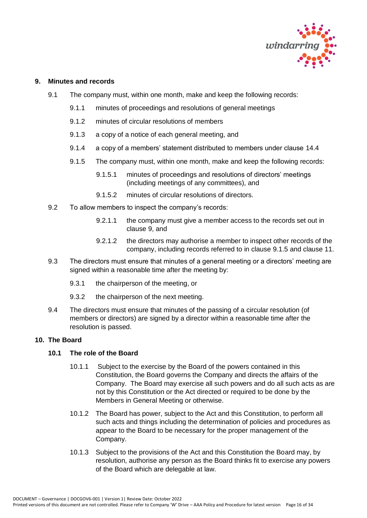

#### <span id="page-15-0"></span>**9. Minutes and records**

- 9.1 The company must, within one month, make and keep the following records:
	- 9.1.1 minutes of proceedings and resolutions of general meetings
	- 9.1.2 minutes of circular resolutions of members
	- 9.1.3 a copy of a notice of each general meeting, and
	- 9.1.4 a copy of a members' statement distributed to members under clause 14.4
	- 9.1.5 The company must, within one month, make and keep the following records:
		- 9.1.5.1 minutes of proceedings and resolutions of directors' meetings (including meetings of any committees), and
		- 9.1.5.2 minutes of circular resolutions of directors.
- 9.2 To allow members to inspect the company's records:
	- 9.2.1.1 the company must give a member access to the records set out in clause 9, and
	- 9.2.1.2 the directors may authorise a member to inspect other records of the company, including records referred to in clause 9.1.5 and clause 11.
- 9.3 The directors must ensure that minutes of a general meeting or a directors' meeting are signed within a reasonable time after the meeting by:
	- 9.3.1 the chairperson of the meeting, or
	- 9.3.2 the chairperson of the next meeting.
- 9.4 The directors must ensure that minutes of the passing of a circular resolution (of members or directors) are signed by a director within a reasonable time after the resolution is passed.

# <span id="page-15-2"></span><span id="page-15-1"></span>**10. The Board**

#### **10.1 The role of the Board**

- 10.1.1 Subject to the exercise by the Board of the powers contained in this Constitution, the Board governs the Company and directs the affairs of the Company. The Board may exercise all such powers and do all such acts as are not by this Constitution or the Act directed or required to be done by the Members in General Meeting or otherwise.
- 10.1.2 The Board has power, subject to the Act and this Constitution, to perform all such acts and things including the determination of policies and procedures as appear to the Board to be necessary for the proper management of the Company.
- 10.1.3 Subject to the provisions of the Act and this Constitution the Board may, by resolution, authorise any person as the Board thinks fit to exercise any powers of the Board which are delegable at law.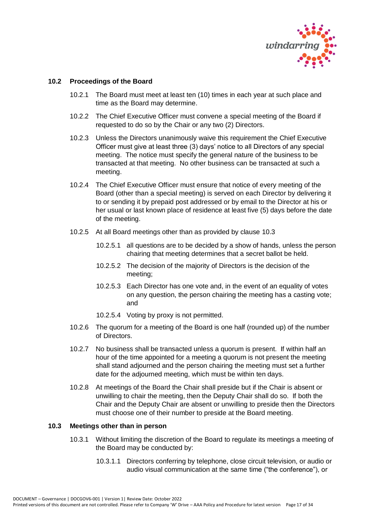

# <span id="page-16-0"></span>**10.2 Proceedings of the Board**

- 10.2.1 The Board must meet at least ten (10) times in each year at such place and time as the Board may determine.
- 10.2.2 The Chief Executive Officer must convene a special meeting of the Board if requested to do so by the Chair or any two (2) Directors.
- 10.2.3 Unless the Directors unanimously waive this requirement the Chief Executive Officer must give at least three (3) days' notice to all Directors of any special meeting. The notice must specify the general nature of the business to be transacted at that meeting. No other business can be transacted at such a meeting.
- 10.2.4 The Chief Executive Officer must ensure that notice of every meeting of the Board (other than a special meeting) is served on each Director by delivering it to or sending it by prepaid post addressed or by email to the Director at his or her usual or last known place of residence at least five (5) days before the date of the meeting.
- 10.2.5 At all Board meetings other than as provided by clause 10.3
	- 10.2.5.1 all questions are to be decided by a show of hands, unless the person chairing that meeting determines that a secret ballot be held.
	- 10.2.5.2 The decision of the majority of Directors is the decision of the meeting;
	- 10.2.5.3 Each Director has one vote and, in the event of an equality of votes on any question, the person chairing the meeting has a casting vote; and
	- 10.2.5.4 Voting by proxy is not permitted.
- 10.2.6 The quorum for a meeting of the Board is one half (rounded up) of the number of Directors.
- 10.2.7 No business shall be transacted unless a quorum is present. If within half an hour of the time appointed for a meeting a quorum is not present the meeting shall stand adjourned and the person chairing the meeting must set a further date for the adjourned meeting, which must be within ten days.
- 10.2.8 At meetings of the Board the Chair shall preside but if the Chair is absent or unwilling to chair the meeting, then the Deputy Chair shall do so. If both the Chair and the Deputy Chair are absent or unwilling to preside then the Directors must choose one of their number to preside at the Board meeting.

# <span id="page-16-1"></span>**10.3 Meetings other than in person**

- 10.3.1 Without limiting the discretion of the Board to regulate its meetings a meeting of the Board may be conducted by:
	- 10.3.1.1 Directors conferring by telephone, close circuit television, or audio or audio visual communication at the same time ("the conference"), or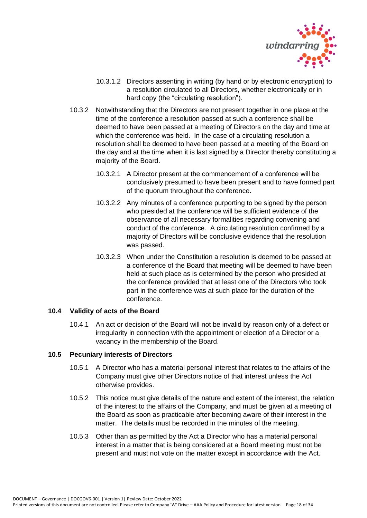

- 10.3.1.2 Directors assenting in writing (by hand or by electronic encryption) to a resolution circulated to all Directors, whether electronically or in hard copy (the "circulating resolution").
- 10.3.2 Notwithstanding that the Directors are not present together in one place at the time of the conference a resolution passed at such a conference shall be deemed to have been passed at a meeting of Directors on the day and time at which the conference was held. In the case of a circulating resolution a resolution shall be deemed to have been passed at a meeting of the Board on the day and at the time when it is last signed by a Director thereby constituting a majority of the Board.
	- 10.3.2.1 A Director present at the commencement of a conference will be conclusively presumed to have been present and to have formed part of the quorum throughout the conference.
	- 10.3.2.2 Any minutes of a conference purporting to be signed by the person who presided at the conference will be sufficient evidence of the observance of all necessary formalities regarding convening and conduct of the conference. A circulating resolution confirmed by a majority of Directors will be conclusive evidence that the resolution was passed.
	- 10.3.2.3 When under the Constitution a resolution is deemed to be passed at a conference of the Board that meeting will be deemed to have been held at such place as is determined by the person who presided at the conference provided that at least one of the Directors who took part in the conference was at such place for the duration of the conference.

# <span id="page-17-0"></span>**10.4 Validity of acts of the Board**

10.4.1 An act or decision of the Board will not be invalid by reason only of a defect or irregularity in connection with the appointment or election of a Director or a vacancy in the membership of the Board.

# <span id="page-17-1"></span>**10.5 Pecuniary interests of Directors**

- 10.5.1 A Director who has a material personal interest that relates to the affairs of the Company must give other Directors notice of that interest unless the Act otherwise provides.
- 10.5.2 This notice must give details of the nature and extent of the interest, the relation of the interest to the affairs of the Company, and must be given at a meeting of the Board as soon as practicable after becoming aware of their interest in the matter. The details must be recorded in the minutes of the meeting.
- 10.5.3 Other than as permitted by the Act a Director who has a material personal interest in a matter that is being considered at a Board meeting must not be present and must not vote on the matter except in accordance with the Act.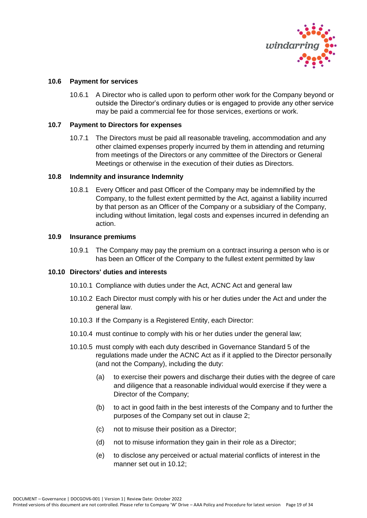

# <span id="page-18-0"></span>**10.6 Payment for services**

10.6.1 A Director who is called upon to perform other work for the Company beyond or outside the Director's ordinary duties or is engaged to provide any other service may be paid a commercial fee for those services, exertions or work.

# <span id="page-18-1"></span>**10.7 Payment to Directors for expenses**

10.7.1 The Directors must be paid all reasonable traveling, accommodation and any other claimed expenses properly incurred by them in attending and returning from meetings of the Directors or any committee of the Directors or General Meetings or otherwise in the execution of their duties as Directors.

#### <span id="page-18-2"></span>**10.8 Indemnity and insurance Indemnity**

10.8.1 Every Officer and past Officer of the Company may be indemnified by the Company, to the fullest extent permitted by the Act, against a liability incurred by that person as an Officer of the Company or a subsidiary of the Company, including without limitation, legal costs and expenses incurred in defending an action.

#### <span id="page-18-3"></span>**10.9 Insurance premiums**

10.9.1 The Company may pay the premium on a contract insuring a person who is or has been an Officer of the Company to the fullest extent permitted by law

# <span id="page-18-4"></span>**10.10 Directors' duties and interests**

- 10.10.1 Compliance with duties under the Act, ACNC Act and general law
- 10.10.2 Each Director must comply with his or her duties under the Act and under the general law.
- 10.10.3 If the Company is a Registered Entity, each Director:
- 10.10.4 must continue to comply with his or her duties under the general law;
- 10.10.5 must comply with each duty described in Governance Standard 5 of the regulations made under the ACNC Act as if it applied to the Director personally (and not the Company), including the duty:
	- (a) to exercise their powers and discharge their duties with the degree of care and diligence that a reasonable individual would exercise if they were a Director of the Company;
	- (b) to act in good faith in the best interests of the Company and to further the purposes of the Company set out in clause 2;
	- (c) not to misuse their position as a Director;
	- (d) not to misuse information they gain in their role as a Director;
	- (e) to disclose any perceived or actual material conflicts of interest in the manner set out in 10.12;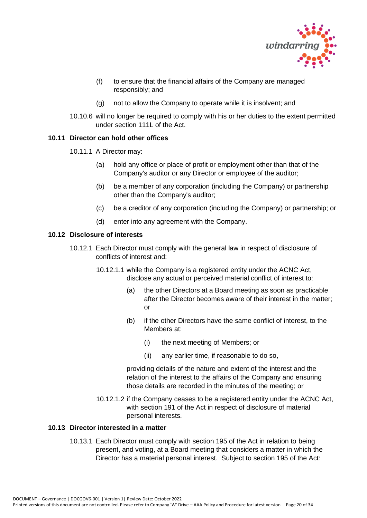

- (f) to ensure that the financial affairs of the Company are managed responsibly; and
- (g) not to allow the Company to operate while it is insolvent; and
- 10.10.6 will no longer be required to comply with his or her duties to the extent permitted under section 111L of the Act.

# <span id="page-19-0"></span>**10.11 Director can hold other offices**

- 10.11.1 A Director may:
	- (a) hold any office or place of profit or employment other than that of the Company's auditor or any Director or employee of the auditor;
	- (b) be a member of any corporation (including the Company) or partnership other than the Company's auditor;
	- (c) be a creditor of any corporation (including the Company) or partnership; or
	- (d) enter into any agreement with the Company.

#### <span id="page-19-1"></span>**10.12 Disclosure of interests**

- 10.12.1 Each Director must comply with the general law in respect of disclosure of conflicts of interest and:
	- 10.12.1.1 while the Company is a registered entity under the ACNC Act, disclose any actual or perceived material conflict of interest to:
		- (a) the other Directors at a Board meeting as soon as practicable after the Director becomes aware of their interest in the matter; or
		- (b) if the other Directors have the same conflict of interest, to the Members at:
			- (i) the next meeting of Members; or
			- (ii) any earlier time, if reasonable to do so,

providing details of the nature and extent of the interest and the relation of the interest to the affairs of the Company and ensuring those details are recorded in the minutes of the meeting; or

10.12.1.2 if the Company ceases to be a registered entity under the ACNC Act, with section 191 of the Act in respect of disclosure of material personal interests.

# <span id="page-19-2"></span>**10.13 Director interested in a matter**

10.13.1 Each Director must comply with section 195 of the Act in relation to being present, and voting, at a Board meeting that considers a matter in which the Director has a material personal interest. Subject to section 195 of the Act: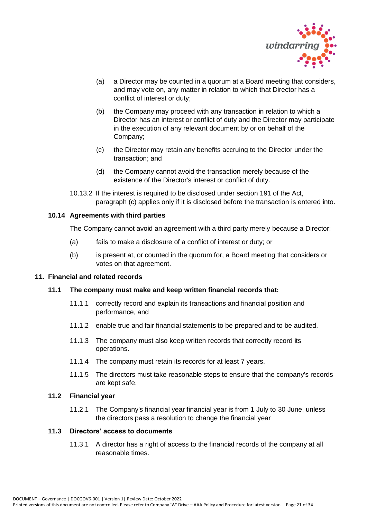

- (a) a Director may be counted in a quorum at a Board meeting that considers, and may vote on, any matter in relation to which that Director has a conflict of interest or duty;
- (b) the Company may proceed with any transaction in relation to which a Director has an interest or conflict of duty and the Director may participate in the execution of any relevant document by or on behalf of the Company;
- (c) the Director may retain any benefits accruing to the Director under the transaction; and
- (d) the Company cannot avoid the transaction merely because of the existence of the Director's interest or conflict of duty.
- 10.13.2 If the interest is required to be disclosed under section 191 of the Act, paragraph (c) applies only if it is disclosed before the transaction is entered into.

# <span id="page-20-0"></span>**10.14 Agreements with third parties**

The Company cannot avoid an agreement with a third party merely because a Director:

- (a) fails to make a disclosure of a conflict of interest or duty; or
- (b) is present at, or counted in the quorum for, a Board meeting that considers or votes on that agreement.

# <span id="page-20-2"></span><span id="page-20-1"></span>**11. Financial and related records**

# **11.1 The company must make and keep written financial records that:**

- 11.1.1 correctly record and explain its transactions and financial position and performance, and
- 11.1.2 enable true and fair financial statements to be prepared and to be audited.
- 11.1.3 The company must also keep written records that correctly record its operations.
- 11.1.4 The company must retain its records for at least 7 years.
- 11.1.5 The directors must take reasonable steps to ensure that the company's records are kept safe.

# <span id="page-20-3"></span>**11.2 Financial year**

11.2.1 The Company's financial year financial year is from 1 July to 30 June, unless the directors pass a resolution to change the financial year

# <span id="page-20-4"></span>**11.3 Directors' access to documents**

11.3.1 A director has a right of access to the financial records of the company at all reasonable times.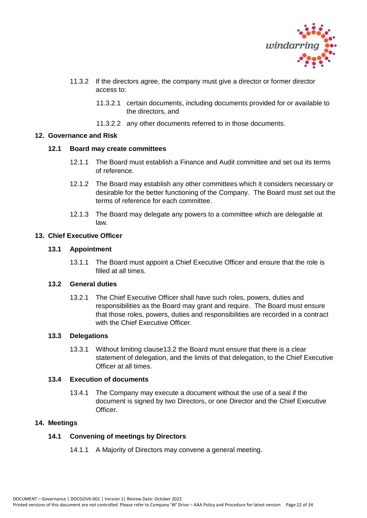

- 11.3.2 If the directors agree, the company must give a director or former director access to:
	- 11.3.2.1 certain documents, including documents provided for or available to the directors, and
	- 11.3.2.2 any other documents referred to in those documents.

# <span id="page-21-1"></span><span id="page-21-0"></span>**12. Governance and Risk**

# **12.1 Board may create committees**

- 12.1.1 The Board must establish a Finance and Audit committee and set out its terms of reference.
- 12.1.2 The Board may establish any other committees which it considers necessary or desirable for the better functioning of the Company. The Board must set out the terms of reference for each committee.
- 12.1.3 The Board may delegate any powers to a committee which are delegable at law.

# <span id="page-21-3"></span><span id="page-21-2"></span>**13. Chief Executive Officer**

# **13.1 Appointment**

13.1.1 The Board must appoint a Chief Executive Officer and ensure that the role is filled at all times.

# <span id="page-21-4"></span>**13.2 General duties**

13.2.1 The Chief Executive Officer shall have such roles, powers, duties and responsibilities as the Board may grant and require. The Board must ensure that those roles, powers, duties and responsibilities are recorded in a contract with the Chief Executive Officer.

# <span id="page-21-5"></span>**13.3 Delegations**

13.3.1 Without limiting clause13.2 the Board must ensure that there is a clear statement of delegation, and the limits of that delegation, to the Chief Executive Officer at all times.

# <span id="page-21-6"></span>**13.4 Execution of documents**

13.4.1 The Company may execute a document without the use of a seal if the document is signed by two Directors, or one Director and the Chief Executive **Officer** 

# <span id="page-21-8"></span><span id="page-21-7"></span>**14. Meetings**

# **14.1 Convening of meetings by Directors**

14.1.1 A Majority of Directors may convene a general meeting.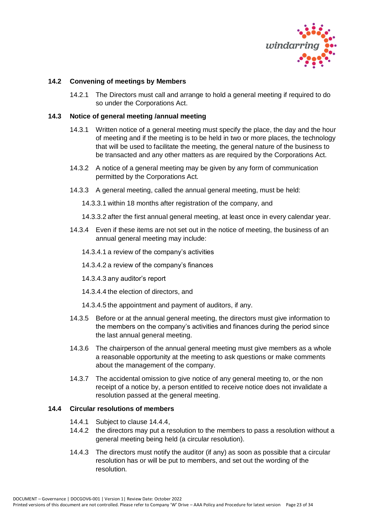

# <span id="page-22-0"></span>**14.2 Convening of meetings by Members**

14.2.1 The Directors must call and arrange to hold a general meeting if required to do so under the Corporations Act.

#### <span id="page-22-1"></span>**14.3 Notice of general meeting /annual meeting**

- 14.3.1 Written notice of a general meeting must specify the place, the day and the hour of meeting and if the meeting is to be held in two or more places, the technology that will be used to facilitate the meeting, the general nature of the business to be transacted and any other matters as are required by the Corporations Act.
- 14.3.2 A notice of a general meeting may be given by any form of communication permitted by the Corporations Act.
- 14.3.3 A general meeting, called the annual general meeting, must be held:
	- 14.3.3.1 within 18 months after registration of the company, and
	- 14.3.3.2 after the first annual general meeting, at least once in every calendar year.
- 14.3.4 Even if these items are not set out in the notice of meeting, the business of an annual general meeting may include:
	- 14.3.4.1 a review of the company's activities
	- 14.3.4.2 a review of the company's finances
	- 14.3.4.3 any auditor's report
	- 14.3.4.4 the election of directors, and
	- 14.3.4.5 the appointment and payment of auditors, if any.
- 14.3.5 Before or at the annual general meeting, the directors must give information to the members on the company's activities and finances during the period since the last annual general meeting.
- 14.3.6 The chairperson of the annual general meeting must give members as a whole a reasonable opportunity at the meeting to ask questions or make comments about the management of the company.
- 14.3.7 The accidental omission to give notice of any general meeting to, or the non receipt of a notice by, a person entitled to receive notice does not invalidate a resolution passed at the general meeting.

#### <span id="page-22-2"></span>**14.4 Circular resolutions of members**

- 14.4.1 Subject to clause 14.4.4,
- 14.4.2 the directors may put a resolution to the members to pass a resolution without a general meeting being held (a circular resolution).
- 14.4.3 The directors must notify the auditor (if any) as soon as possible that a circular resolution has or will be put to members, and set out the wording of the resolution.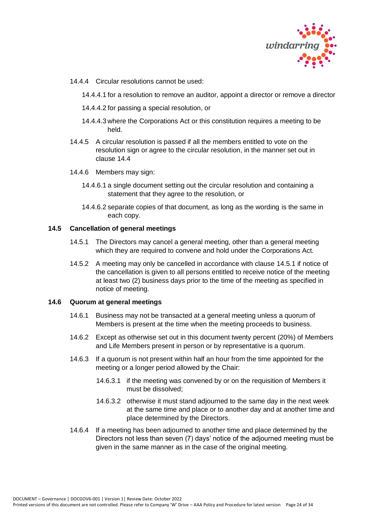

- 14.4.4 Circular resolutions cannot be used:
	- 14.4.4.1 for a resolution to remove an auditor, appoint a director or remove a director
	- 14.4.4.2 for passing a special resolution, or
	- 14.4.4.3 where the Corporations Act or this constitution requires a meeting to be held.
- 14.4.5 A circular resolution is passed if all the members entitled to vote on the resolution sign or agree to the circular resolution, in the manner set out in clause 14.4
- 14.4.6 Members may sign:
	- 14.4.6.1 a single document setting out the circular resolution and containing a statement that they agree to the resolution, or
	- 14.4.6.2 separate copies of that document, as long as the wording is the same in each copy.

# <span id="page-23-0"></span>**14.5 Cancellation of general meetings**

- 14.5.1 The Directors may cancel a general meeting, other than a general meeting which they are required to convene and hold under the Corporations Act.
- 14.5.2 A meeting may only be cancelled in accordance with clause 14.5.1 if notice of the cancellation is given to all persons entitled to receive notice of the meeting at least two (2) business days prior to the time of the meeting as specified in notice of meeting.

#### <span id="page-23-1"></span>**14.6 Quorum at general meetings**

- 14.6.1 Business may not be transacted at a general meeting unless a quorum of Members is present at the time when the meeting proceeds to business.
- 14.6.2 Except as otherwise set out in this document twenty percent (20%) of Members and Life Members present in person or by representative is a quorum.
- 14.6.3 If a quorum is not present within half an hour from the time appointed for the meeting or a longer period allowed by the Chair:
	- 14.6.3.1 if the meeting was convened by or on the requisition of Members it must be dissolved;
	- 14.6.3.2 otherwise it must stand adjourned to the same day in the next week at the same time and place or to another day and at another time and place determined by the Directors.
- 14.6.4 If a meeting has been adjourned to another time and place determined by the Directors not less than seven (7) days' notice of the adjourned meeting must be given in the same manner as in the case of the original meeting.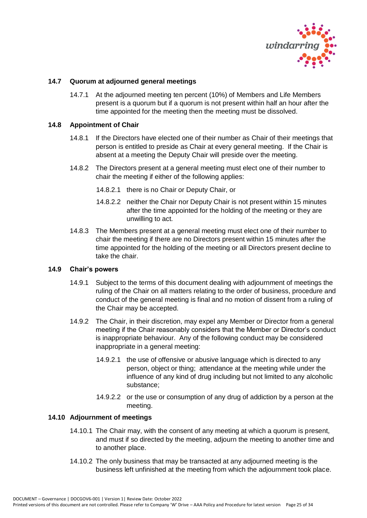

# <span id="page-24-0"></span>**14.7 Quorum at adjourned general meetings**

14.7.1 At the adjourned meeting ten percent (10%) of Members and Life Members present is a quorum but if a quorum is not present within half an hour after the time appointed for the meeting then the meeting must be dissolved.

# <span id="page-24-1"></span>**14.8 Appointment of Chair**

- 14.8.1 If the Directors have elected one of their number as Chair of their meetings that person is entitled to preside as Chair at every general meeting. If the Chair is absent at a meeting the Deputy Chair will preside over the meeting.
- 14.8.2 The Directors present at a general meeting must elect one of their number to chair the meeting if either of the following applies:
	- 14.8.2.1 there is no Chair or Deputy Chair, or
	- 14.8.2.2 neither the Chair nor Deputy Chair is not present within 15 minutes after the time appointed for the holding of the meeting or they are unwilling to act.
- 14.8.3 The Members present at a general meeting must elect one of their number to chair the meeting if there are no Directors present within 15 minutes after the time appointed for the holding of the meeting or all Directors present decline to take the chair.

#### <span id="page-24-2"></span>**14.9 Chair's powers**

- 14.9.1 Subject to the terms of this document dealing with adjournment of meetings the ruling of the Chair on all matters relating to the order of business, procedure and conduct of the general meeting is final and no motion of dissent from a ruling of the Chair may be accepted.
- 14.9.2 The Chair, in their discretion, may expel any Member or Director from a general meeting if the Chair reasonably considers that the Member or Director's conduct is inappropriate behaviour. Any of the following conduct may be considered inappropriate in a general meeting:
	- 14.9.2.1 the use of offensive or abusive language which is directed to any person, object or thing; attendance at the meeting while under the influence of any kind of drug including but not limited to any alcoholic substance;
	- 14.9.2.2 or the use or consumption of any drug of addiction by a person at the meeting.

#### <span id="page-24-3"></span>**14.10 Adjournment of meetings**

- 14.10.1 The Chair may, with the consent of any meeting at which a quorum is present, and must if so directed by the meeting, adjourn the meeting to another time and to another place.
- 14.10.2 The only business that may be transacted at any adjourned meeting is the business left unfinished at the meeting from which the adjournment took place.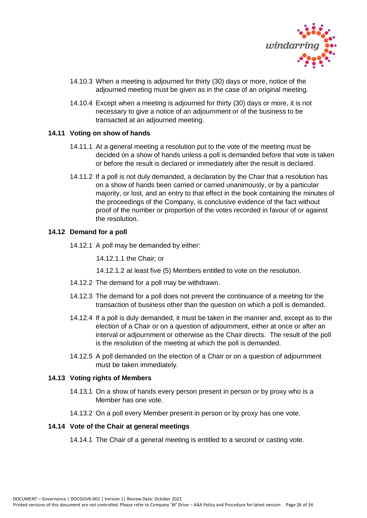

- 14.10.3 When a meeting is adjourned for thirty (30) days or more, notice of the adjourned meeting must be given as in the case of an original meeting.
- 14.10.4 Except when a meeting is adjourned for thirty (30) days or more, it is not necessary to give a notice of an adjournment or of the business to be transacted at an adjourned meeting.

# <span id="page-25-0"></span>**14.11 Voting on show of hands**

- 14.11.1 At a general meeting a resolution put to the vote of the meeting must be decided on a show of hands unless a poll is demanded before that vote is taken or before the result is declared or immediately after the result is declared.
- 14.11.2 If a poll is not duly demanded, a declaration by the Chair that a resolution has on a show of hands been carried or carried unanimously, or by a particular majority, or lost, and an entry to that effect in the book containing the minutes of the proceedings of the Company, is conclusive evidence of the fact without proof of the number or proportion of the votes recorded in favour of or against the resolution.

#### <span id="page-25-1"></span>**14.12 Demand for a poll**

14.12.1 A poll may be demanded by either:

14.12.1.1 the Chair; or

- 14.12.1.2 at least five (5) Members entitled to vote on the resolution.
- 14.12.2 The demand for a poll may be withdrawn.
- 14.12.3 The demand for a poll does not prevent the continuance of a meeting for the transaction of business other than the question on which a poll is demanded.
- 14.12.4 If a poll is duly demanded, it must be taken in the manner and, except as to the election of a Chair or on a question of adjournment, either at once or after an interval or adjournment or otherwise as the Chair directs. The result of the poll is the resolution of the meeting at which the poll is demanded.
- 14.12.5 A poll demanded on the election of a Chair or on a question of adjournment must be taken immediately.

#### <span id="page-25-2"></span>**14.13 Voting rights of Members**

- 14.13.1 On a show of hands every person present in person or by proxy who is a Member has one vote.
- 14.13.2 On a poll every Member present in person or by proxy has one vote.

# <span id="page-25-3"></span>**14.14 Vote of the Chair at general meetings**

14.14.1 The Chair of a general meeting is entitled to a second or casting vote.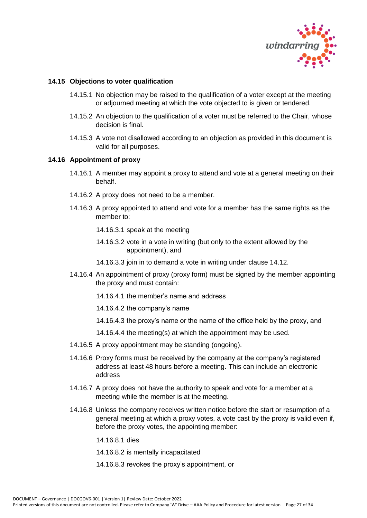

# <span id="page-26-0"></span>**14.15 Objections to voter qualification**

- 14.15.1 No objection may be raised to the qualification of a voter except at the meeting or adjourned meeting at which the vote objected to is given or tendered.
- 14.15.2 An objection to the qualification of a voter must be referred to the Chair, whose decision is final.
- 14.15.3 A vote not disallowed according to an objection as provided in this document is valid for all purposes.

# <span id="page-26-1"></span>**14.16 Appointment of proxy**

- 14.16.1 A member may appoint a proxy to attend and vote at a general meeting on their behalf.
- 14.16.2 A proxy does not need to be a member.
- 14.16.3 A proxy appointed to attend and vote for a member has the same rights as the member to:
	- 14.16.3.1 speak at the meeting
	- 14.16.3.2 vote in a vote in writing (but only to the extent allowed by the appointment), and
	- 14.16.3.3 join in to demand a vote in writing under clause 14.12.
- 14.16.4 An appointment of proxy (proxy form) must be signed by the member appointing the proxy and must contain:
	- 14.16.4.1 the member's name and address
	- 14.16.4.2 the company's name
	- 14.16.4.3 the proxy's name or the name of the office held by the proxy, and
	- 14.16.4.4 the meeting(s) at which the appointment may be used.
- 14.16.5 A proxy appointment may be standing (ongoing).
- 14.16.6 Proxy forms must be received by the company at the company's registered address at least 48 hours before a meeting. This can include an electronic address
- 14.16.7 A proxy does not have the authority to speak and vote for a member at a meeting while the member is at the meeting.
- 14.16.8 Unless the company receives written notice before the start or resumption of a general meeting at which a proxy votes, a vote cast by the proxy is valid even if, before the proxy votes, the appointing member:

14.16.8.1 dies

- 14.16.8.2 is mentally incapacitated
- 14.16.8.3 revokes the proxy's appointment, or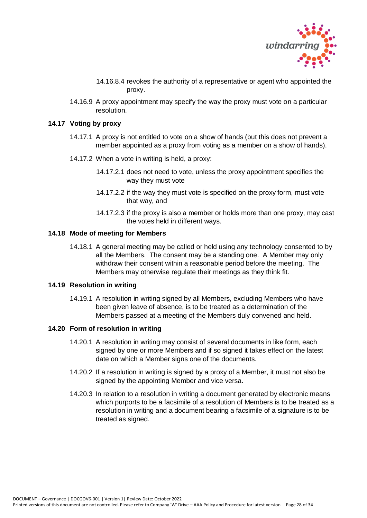

- 14.16.8.4 revokes the authority of a representative or agent who appointed the proxy.
- 14.16.9 A proxy appointment may specify the way the proxy must vote on a particular resolution.

#### <span id="page-27-0"></span>**14.17 Voting by proxy**

- 14.17.1 A proxy is not entitled to vote on a show of hands (but this does not prevent a member appointed as a proxy from voting as a member on a show of hands).
- 14.17.2 When a vote in writing is held, a proxy:
	- 14.17.2.1 does not need to vote, unless the proxy appointment specifies the way they must vote
	- 14.17.2.2 if the way they must vote is specified on the proxy form, must vote that way, and
	- 14.17.2.3 if the proxy is also a member or holds more than one proxy, may cast the votes held in different ways.

#### <span id="page-27-1"></span>**14.18 Mode of meeting for Members**

14.18.1 A general meeting may be called or held using any technology consented to by all the Members. The consent may be a standing one. A Member may only withdraw their consent within a reasonable period before the meeting. The Members may otherwise regulate their meetings as they think fit.

#### <span id="page-27-2"></span>**14.19 Resolution in writing**

14.19.1 A resolution in writing signed by all Members, excluding Members who have been given leave of absence, is to be treated as a determination of the Members passed at a meeting of the Members duly convened and held.

#### <span id="page-27-3"></span>**14.20 Form of resolution in writing**

- 14.20.1 A resolution in writing may consist of several documents in like form, each signed by one or more Members and if so signed it takes effect on the latest date on which a Member signs one of the documents.
- 14.20.2 If a resolution in writing is signed by a proxy of a Member, it must not also be signed by the appointing Member and vice versa.
- 14.20.3 In relation to a resolution in writing a document generated by electronic means which purports to be a facsimile of a resolution of Members is to be treated as a resolution in writing and a document bearing a facsimile of a signature is to be treated as signed.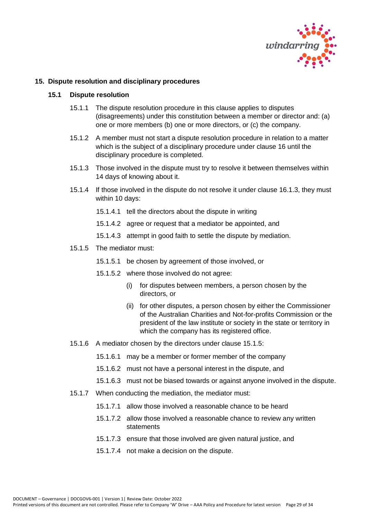

#### <span id="page-28-1"></span><span id="page-28-0"></span>**15. Dispute resolution and disciplinary procedures**

#### **15.1 Dispute resolution**

- 15.1.1 The dispute resolution procedure in this clause applies to disputes (disagreements) under this constitution between a member or director and: (a) one or more members (b) one or more directors, or (c) the company.
- 15.1.2 A member must not start a dispute resolution procedure in relation to a matter which is the subject of a disciplinary procedure under clause 16 until the disciplinary procedure is completed.
- 15.1.3 Those involved in the dispute must try to resolve it between themselves within 14 days of knowing about it.
- 15.1.4 If those involved in the dispute do not resolve it under clause 16.1.3, they must within 10 days:
	- 15.1.4.1 tell the directors about the dispute in writing
	- 15.1.4.2 agree or request that a mediator be appointed, and
	- 15.1.4.3 attempt in good faith to settle the dispute by mediation.
- 15.1.5 The mediator must:
	- 15.1.5.1 be chosen by agreement of those involved, or
	- 15.1.5.2 where those involved do not agree:
		- (i) for disputes between members, a person chosen by the directors, or
		- (ii) for other disputes, a person chosen by either the Commissioner of the Australian Charities and Not-for-profits Commission or the president of the law institute or society in the state or territory in which the company has its registered office.
- 15.1.6 A mediator chosen by the directors under clause 15.1.5:
	- 15.1.6.1 may be a member or former member of the company
	- 15.1.6.2 must not have a personal interest in the dispute, and
	- 15.1.6.3 must not be biased towards or against anyone involved in the dispute.
- 15.1.7 When conducting the mediation, the mediator must:
	- 15.1.7.1 allow those involved a reasonable chance to be heard
	- 15.1.7.2 allow those involved a reasonable chance to review any written statements
	- 15.1.7.3 ensure that those involved are given natural justice, and
	- 15.1.7.4 not make a decision on the dispute.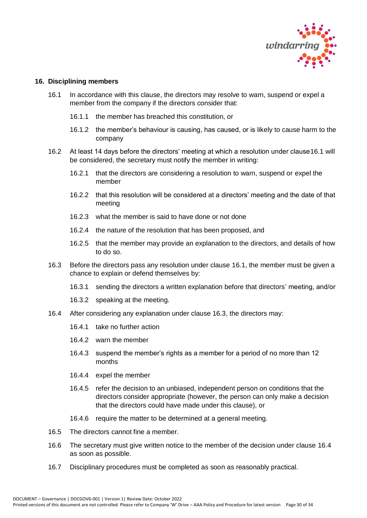

#### <span id="page-29-0"></span>**16. Disciplining members**

- 16.1 In accordance with this clause, the directors may resolve to warn, suspend or expel a member from the company if the directors consider that:
	- 16.1.1 the member has breached this constitution, or
	- 16.1.2 the member's behaviour is causing, has caused, or is likely to cause harm to the company
- 16.2 At least 14 days before the directors' meeting at which a resolution under clause16.1 will be considered, the secretary must notify the member in writing:
	- 16.2.1 that the directors are considering a resolution to warn, suspend or expel the member
	- 16.2.2 that this resolution will be considered at a directors' meeting and the date of that meeting
	- 16.2.3 what the member is said to have done or not done
	- 16.2.4 the nature of the resolution that has been proposed, and
	- 16.2.5 that the member may provide an explanation to the directors, and details of how to do so.
- 16.3 Before the directors pass any resolution under clause 16.1, the member must be given a chance to explain or defend themselves by:
	- 16.3.1 sending the directors a written explanation before that directors' meeting, and/or
	- 16.3.2 speaking at the meeting.
- 16.4 After considering any explanation under clause 16.3, the directors may:
	- 16.4.1 take no further action
	- 16.4.2 warn the member
	- 16.4.3 suspend the member's rights as a member for a period of no more than 12 months
	- 16.4.4 expel the member
	- 16.4.5 refer the decision to an unbiased, independent person on conditions that the directors consider appropriate (however, the person can only make a decision that the directors could have made under this clause), or
	- 16.4.6 require the matter to be determined at a general meeting.
- 16.5 The directors cannot fine a member.
- 16.6 The secretary must give written notice to the member of the decision under clause 16.4 as soon as possible.
- 16.7 Disciplinary procedures must be completed as soon as reasonably practical.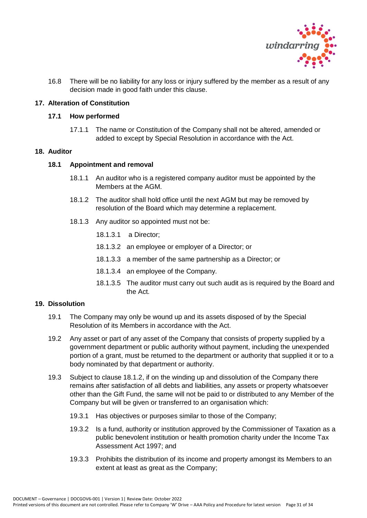

16.8 There will be no liability for any loss or injury suffered by the member as a result of any decision made in good faith under this clause.

# <span id="page-30-1"></span><span id="page-30-0"></span>**17. Alteration of Constitution**

#### **17.1 How performed**

17.1.1 The name or Constitution of the Company shall not be altered, amended or added to except by Special Resolution in accordance with the Act.

# <span id="page-30-2"></span>**18. Auditor**

#### **18.1 Appointment and removal**

- 18.1.1 An auditor who is a registered company auditor must be appointed by the Members at the AGM.
- 18.1.2 The auditor shall hold office until the next AGM but may be removed by resolution of the Board which may determine a replacement.
- 18.1.3 Any auditor so appointed must not be:
	- 18.1.3.1 a Director;
	- 18.1.3.2 an employee or employer of a Director; or
	- 18.1.3.3 a member of the same partnership as a Director; or
	- 18.1.3.4 an employee of the Company.
	- 18.1.3.5 The auditor must carry out such audit as is required by the Board and the Act.

# <span id="page-30-3"></span>**19. Dissolution**

- 19.1 The Company may only be wound up and its assets disposed of by the Special Resolution of its Members in accordance with the Act.
- 19.2 Any asset or part of any asset of the Company that consists of property supplied by a government department or public authority without payment, including the unexpended portion of a grant, must be returned to the department or authority that supplied it or to a body nominated by that department or authority.
- 19.3 Subject to clause 18.1.2, if on the winding up and dissolution of the Company there remains after satisfaction of all debts and liabilities, any assets or property whatsoever other than the Gift Fund, the same will not be paid to or distributed to any Member of the Company but will be given or transferred to an organisation which:
	- 19.3.1 Has objectives or purposes similar to those of the Company;
	- 19.3.2 Is a fund, authority or institution approved by the Commissioner of Taxation as a public benevolent institution or health promotion charity under the Income Tax Assessment Act 1997; and
	- 19.3.3 Prohibits the distribution of its income and property amongst its Members to an extent at least as great as the Company;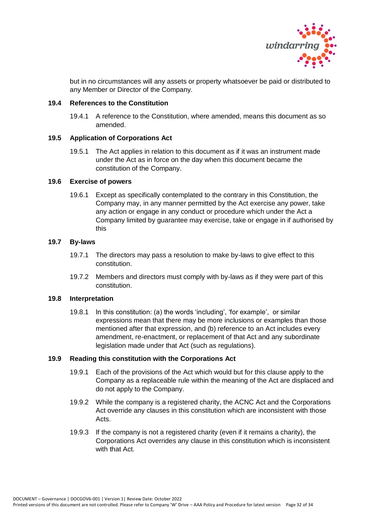

but in no circumstances will any assets or property whatsoever be paid or distributed to any Member or Director of the Company.

# <span id="page-31-0"></span>**19.4 References to the Constitution**

19.4.1 A reference to the Constitution, where amended, means this document as so amended.

# <span id="page-31-1"></span>**19.5 Application of Corporations Act**

19.5.1 The Act applies in relation to this document as if it was an instrument made under the Act as in force on the day when this document became the constitution of the Company.

# <span id="page-31-2"></span>**19.6 Exercise of powers**

19.6.1 Except as specifically contemplated to the contrary in this Constitution, the Company may, in any manner permitted by the Act exercise any power, take any action or engage in any conduct or procedure which under the Act a Company limited by guarantee may exercise, take or engage in if authorised by this

# <span id="page-31-3"></span>**19.7 By-laws**

- 19.7.1 The directors may pass a resolution to make by-laws to give effect to this constitution.
- 19.7.2 Members and directors must comply with by-laws as if they were part of this constitution.

# <span id="page-31-4"></span>**19.8 Interpretation**

19.8.1 In this constitution: (a) the words 'including', 'for example', or similar expressions mean that there may be more inclusions or examples than those mentioned after that expression, and (b) reference to an Act includes every amendment, re-enactment, or replacement of that Act and any subordinate legislation made under that Act (such as regulations).

# <span id="page-31-5"></span>**19.9 Reading this constitution with the Corporations Act**

- 19.9.1 Each of the provisions of the Act which would but for this clause apply to the Company as a replaceable rule within the meaning of the Act are displaced and do not apply to the Company.
- 19.9.2 While the company is a registered charity, the ACNC Act and the Corporations Act override any clauses in this constitution which are inconsistent with those Acts.
- 19.9.3 If the company is not a registered charity (even if it remains a charity), the Corporations Act overrides any clause in this constitution which is inconsistent with that Act.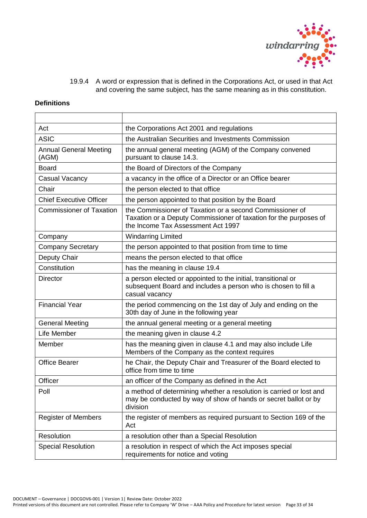

19.9.4 A word or expression that is defined in the Corporations Act, or used in that Act and covering the same subject, has the same meaning as in this constitution.

# **Definitions**

| Act                                    | the Corporations Act 2001 and regulations                                                                                                                           |
|----------------------------------------|---------------------------------------------------------------------------------------------------------------------------------------------------------------------|
| <b>ASIC</b>                            | the Australian Securities and Investments Commission                                                                                                                |
| <b>Annual General Meeting</b><br>(AGM) | the annual general meeting (AGM) of the Company convened<br>pursuant to clause 14.3.                                                                                |
| <b>Board</b>                           | the Board of Directors of the Company                                                                                                                               |
| <b>Casual Vacancy</b>                  | a vacancy in the office of a Director or an Office bearer                                                                                                           |
| Chair                                  | the person elected to that office                                                                                                                                   |
| <b>Chief Executive Officer</b>         | the person appointed to that position by the Board                                                                                                                  |
| <b>Commissioner of Taxation</b>        | the Commissioner of Taxation or a second Commissioner of<br>Taxation or a Deputy Commissioner of taxation for the purposes of<br>the Income Tax Assessment Act 1997 |
| Company                                | <b>Windarring Limited</b>                                                                                                                                           |
| <b>Company Secretary</b>               | the person appointed to that position from time to time                                                                                                             |
| Deputy Chair                           | means the person elected to that office                                                                                                                             |
| Constitution                           | has the meaning in clause 19.4                                                                                                                                      |
| <b>Director</b>                        | a person elected or appointed to the initial, transitional or<br>subsequent Board and includes a person who is chosen to fill a<br>casual vacancy                   |
| <b>Financial Year</b>                  | the period commencing on the 1st day of July and ending on the<br>30th day of June in the following year                                                            |
| <b>General Meeting</b>                 | the annual general meeting or a general meeting                                                                                                                     |
| Life Member                            | the meaning given in clause 4.2                                                                                                                                     |
| Member                                 | has the meaning given in clause 4.1 and may also include Life<br>Members of the Company as the context requires                                                     |
| <b>Office Bearer</b>                   | he Chair, the Deputy Chair and Treasurer of the Board elected to<br>office from time to time                                                                        |
| Officer                                | an officer of the Company as defined in the Act                                                                                                                     |
| Poll                                   | a method of determining whether a resolution is carried or lost and<br>may be conducted by way of show of hands or secret ballot or by<br>division                  |
| <b>Register of Members</b>             | the register of members as required pursuant to Section 169 of the<br>Act                                                                                           |
| Resolution                             | a resolution other than a Special Resolution                                                                                                                        |
| <b>Special Resolution</b>              | a resolution in respect of which the Act imposes special<br>requirements for notice and voting                                                                      |